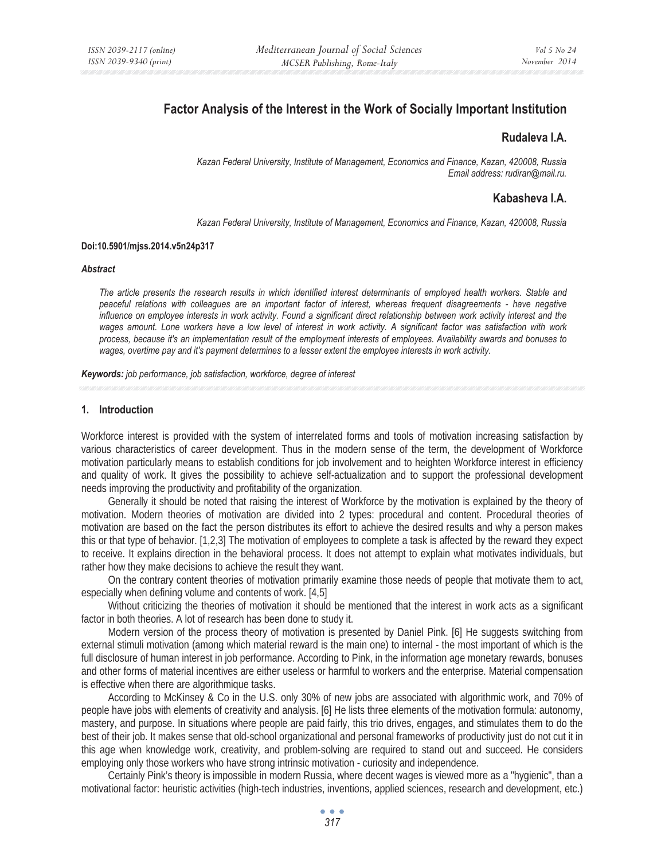# **Factor Analysis of the Interest in the Work of Socially Important Institution**

## **Rudaleva I.A.**

*Kazan Federal University, Institute of Management, Economics and Finance, Kazan, 420008, Russia Email address: rudiran@mail.ru.* 

## **Kabasheva I.A.**

*Kazan Federal University, Institute of Management, Economics and Finance, Kazan, 420008, Russia* 

### **Doi:10.5901/mjss.2014.v5n24p317**

### *Abstract*

*The article presents the research results in which identified interest determinants of employed health workers. Stable and peaceful relations with colleagues are an important factor of interest, whereas frequent disagreements - have negative*  influence on employee interests in work activity. Found a significant direct relationship between work activity interest and the *wages amount. Lone workers have a low level of interest in work activity. A significant factor was satisfaction with work process, because it's an implementation result of the employment interests of employees. Availability awards and bonuses to wages, overtime pay and it's payment determines to a lesser extent the employee interests in work activity.* 

*Keywords: job performance, job satisfaction, workforce, degree of interest*

### **1. Introduction**

Workforce interest is provided with the system of interrelated forms and tools of motivation increasing satisfaction by various characteristics of career development. Thus in the modern sense of the term, the development of Workforce motivation particularly means to establish conditions for job involvement and to heighten Workforce interest in efficiency and quality of work. It gives the possibility to achieve self-actualization and to support the professional development needs improving the productivity and profitability of the organization.

Generally it should be noted that raising the interest of Workforce by the motivation is explained by the theory of motivation. Modern theories of motivation are divided into 2 types: procedural and content. Procedural theories of motivation are based on the fact the person distributes its effort to achieve the desired results and why a person makes this or that type of behavior. [1,2,3] The motivation of employees to complete a task is affected by the reward they expect to receive. It explains direction in the behavioral process. It does not attempt to explain what motivates individuals, but rather how they make decisions to achieve the result they want.

On the contrary content theories of motivation primarily examine those needs of people that motivate them to act, especially when defining volume and contents of work. [4,5]

Without criticizing the theories of motivation it should be mentioned that the interest in work acts as a significant factor in both theories. A lot of research has been done to study it.

Modern version of the process theory of motivation is presented by Daniel Pink. [6] He suggests switching from external stimuli motivation (among which material reward is the main one) to internal - the most important of which is the full disclosure of human interest in job performance. According to Pink, in the information age monetary rewards, bonuses and other forms of material incentives are either useless or harmful to workers and the enterprise. Material compensation is effective when there are algorithmique tasks.

According to McKinsey & Co in the U.S. only 30% of new jobs are associated with algorithmic work, and 70% of people have jobs with elements of creativity and analysis. [6] He lists three elements of the motivation formula: autonomy, mastery, and purpose. In situations where people are paid fairly, this trio drives, engages, and stimulates them to do the best of their job. It makes sense that old-school organizational and personal frameworks of productivity just do not cut it in this age when knowledge work, creativity, and problem-solving are required to stand out and succeed. He considers employing only those workers who have strong intrinsic motivation - curiosity and independence.

Certainly Pink's theory is impossible in modern Russia, where decent wages is viewed more as a "hygienic", than a motivational factor: heuristic activities (high-tech industries, inventions, applied sciences, research and development, etc.)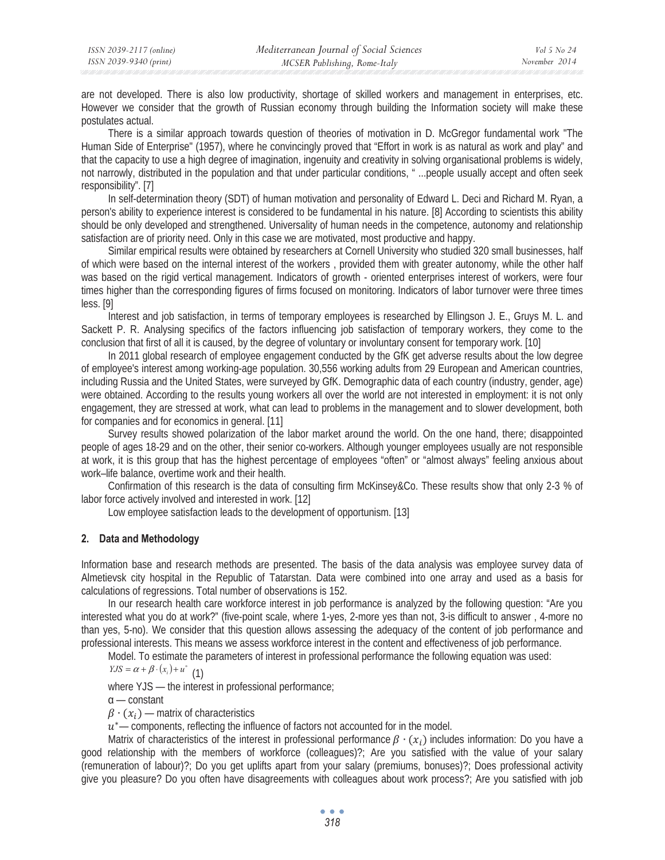are not developed. There is also low productivity, shortage of skilled workers and management in enterprises, etc. However we consider that the growth of Russian economy through building the Information society will make these postulates actual.

There is a similar approach towards question of theories of motivation in D. McGregor fundamental work "The Human Side of Enterprise" (1957), where he convincingly proved that "Effort in work is as natural as work and play" and that the capacity to use a high degree of imagination, ingenuity and creativity in solving organisational problems is widely, not narrowly, distributed in the population and that under particular conditions, " ...people usually accept and often seek responsibility". [7]

In self-determination theory (SDT) of human motivation and personality of Edward L. Deci and Richard M. Ryan, a person's ability to experience interest is considered to be fundamental in his nature. [8] According to scientists this ability should be only developed and strengthened. Universality of human needs in the competence, autonomy and relationship satisfaction are of priority need. Only in this case we are motivated, most productive and happy.

Similar empirical results were obtained by researchers at Cornell University who studied 320 small businesses, half of which were based on the internal interest of the workers , provided them with greater autonomy, while the other half was based on the rigid vertical management. Indicators of growth - oriented enterprises interest of workers, were four times higher than the corresponding figures of firms focused on monitoring. Indicators of labor turnover were three times less. [9]

Interest and job satisfaction, in terms of temporary employees is researched by Ellingson J. E., Gruys M. L. and Sackett P. R. Analysing specifics of the factors influencing job satisfaction of temporary workers, they come to the conclusion that first of all it is caused, by the degree of voluntary or involuntary consent for temporary work. [10]

In 2011 global research of employee engagement conducted by the GfK get adverse results about the low degree of employee's interest among working-age population. 30,556 working adults from 29 European and American countries, including Russia and the United States, were surveyed by GfK. Demographic data of each country (industry, gender, age) were obtained. According to the results young workers all over the world are not interested in employment: it is not only engagement, they are stressed at work, what can lead to problems in the management and to slower development, both for companies and for economics in general. [11]

Survey results showed polarization of the labor market around the world. On the one hand, there; disappointed people of ages 18-29 and on the other, their senior co-workers. Although younger employees usually are not responsible at work, it is this group that has the highest percentage of employees "often" or "almost always" feeling anxious about work–life balance, overtime work and their health.

Confirmation of this research is the data of consulting firm McKinsey&Co. These results show that only 2-3 % of labor force actively involved and interested in work. [12]

Low employee satisfaction leads to the development of opportunism. [13]

## **2. Data and Methodology**

Information base and research methods are presented. The basis of the data analysis was employee survey data of Almetievsk city hospital in the Republic of Tatarstan. Data were combined into one array and used as a basis for calculations of regressions. Total number of observations is 152.

In our research health care workforce interest in job performance is analyzed by the following question: "Are you interested what you do at work?" (five-point scale, where 1-yes, 2-more yes than not, 3-is difficult to answer , 4-more no than yes, 5-no). We consider that this question allows assessing the adequacy of the content of job performance and professional interests. This means we assess workforce interest in the content and effectiveness of job performance.

Model. To estimate the parameters of interest in professional performance the following equation was used:

 $YJS = \alpha + \beta \cdot (x_i) + u^*$  (1)

where YJS — the interest in professional performance;

 $\alpha$  — constant

 $\beta \cdot (x_i)$  — matrix of characteristics

 $u^*$  components, reflecting the influence of factors not accounted for in the model.

Matrix of characteristics of the interest in professional performance  $\beta \cdot (x_i)$  includes information: Do you have a good relationship with the members of workforce (colleagues)?; Are you satisfied with the value of your salary (remuneration of labour)?; Do you get uplifts apart from your salary (premiums, bonuses)?; Does professional activity give you pleasure? Do you often have disagreements with colleagues about work process?; Are you satisfied with job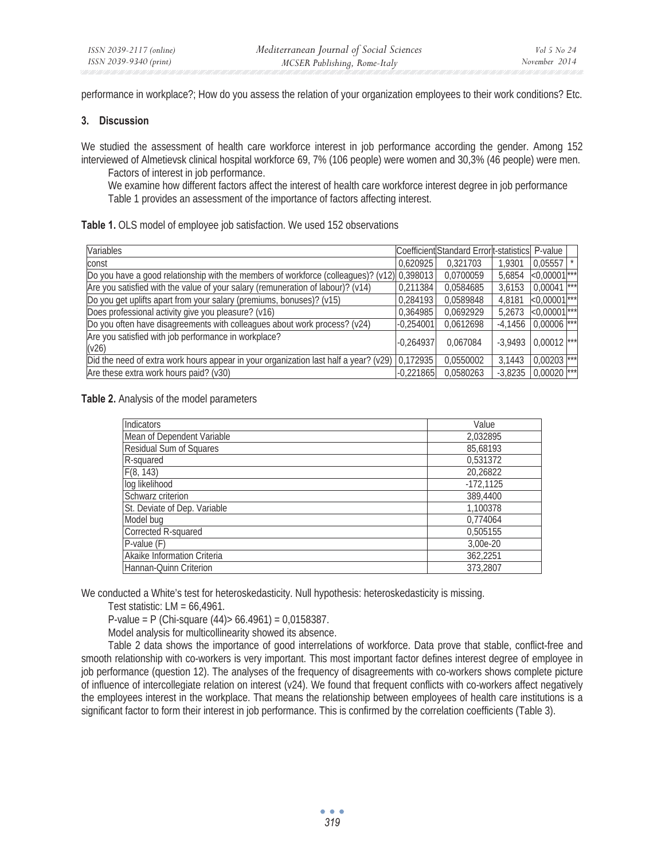performance in workplace?; How do you assess the relation of your organization employees to their work conditions? Etc.

### **3. Discussion**

We studied the assessment of health care workforce interest in job performance according the gender. Among 152 interviewed of Almetievsk clinical hospital workforce 69, 7% (106 people) were women and 30,3% (46 people) were men.

Factors of interest in job performance.

We examine how different factors affect the interest of health care workforce interest degree in job performance Table 1 provides an assessment of the importance of factors affecting interest.

|  |  |  |  |  |  | Table 1. OLS model of employee job satisfaction. We used 152 observations |
|--|--|--|--|--|--|---------------------------------------------------------------------------|
|--|--|--|--|--|--|---------------------------------------------------------------------------|

| Variables                                                                                         |             | Coefficient Standard Error t-statistics P-value |           |                            |  |
|---------------------------------------------------------------------------------------------------|-------------|-------------------------------------------------|-----------|----------------------------|--|
| const                                                                                             | 0.620925    | 0.321703                                        | 1.9301    | $0,05557$ $\uparrow$       |  |
| [Do you have a good relationship with the members of workforce (colleagues)? (v12) 0,398013       |             | 0,0700059                                       | 5,6854    | $< 0,00001$ ***            |  |
| Are you satisfied with the value of your salary (remuneration of labour)? (v14)                   | 0.211384    | 0.0584685                                       | 3.6153    | $0,0004\overline{1^{***}}$ |  |
| Do you get uplifts apart from your salary (premiums, bonuses)? (v15)                              | 0.284193    | 0.0589848                                       | 4.8181    | $< 0,00001$ ***            |  |
| Does professional activity give you pleasure? (v16)                                               | 0.364985    | 0.0692929                                       | 5.2673    | $< 0,00001$ ***            |  |
| Do you often have disagreements with colleagues about work process? (v24)                         | $-0.254001$ | 0.0612698                                       | $-4.1456$ | $0,00006$ <sup>***</sup>   |  |
| Are you satisfied with job performance in workplace?<br>(v26)                                     | $-0.264937$ | 0.067084                                        | $-3.9493$ | $0,00012$ ***              |  |
| Did the need of extra work hours appear in your organization last half a year? ( $v29$ ) 0,172935 |             | 0.0550002                                       | 3.1443    | $0,00203$ ***              |  |
| Are these extra work hours paid? (v30)                                                            | $-0,221865$ | 0.0580263                                       | $-3.8235$ | $0,00020$ ***              |  |

**Table 2.** Analysis of the model parameters

| Indicators                   | Value       |  |  |
|------------------------------|-------------|--|--|
| Mean of Dependent Variable   | 2,032895    |  |  |
| Residual Sum of Squares      | 85,68193    |  |  |
| R-squared                    | 0.531372    |  |  |
| F(8, 143)                    | 20,26822    |  |  |
| log likelihood               | $-172,1125$ |  |  |
| Schwarz criterion            | 389,4400    |  |  |
| St. Deviate of Dep. Variable | 1,100378    |  |  |
| Model bug                    | 0,774064    |  |  |
| Corrected R-squared          | 0,505155    |  |  |
| P-value (F)                  | 3,00e-20    |  |  |
| Akaike Information Criteria  | 362.2251    |  |  |
| Hannan-Quinn Criterion       | 373,2807    |  |  |

We conducted a White's test for heteroskedasticity. Null hypothesis: heteroskedasticity is missing.

Test statistic:  $LM = 66,4961$ .

P-value = P (Chi-square  $(44)$  > 66.4961) = 0,0158387.

Model analysis for multicollinearity showed its absence.

Table 2 data shows the importance of good interrelations of workforce. Data prove that stable, conflict-free and smooth relationship with co-workers is very important. This most important factor defines interest degree of employee in job performance (question 12). The analyses of the frequency of disagreements with co-workers shows complete picture of influence of intercollegiate relation on interest (v24). We found that frequent conflicts with co-workers affect negatively the employees interest in the workplace. That means the relationship between employees of health care institutions is a significant factor to form their interest in job performance. This is confirmed by the correlation coefficients (Table 3).